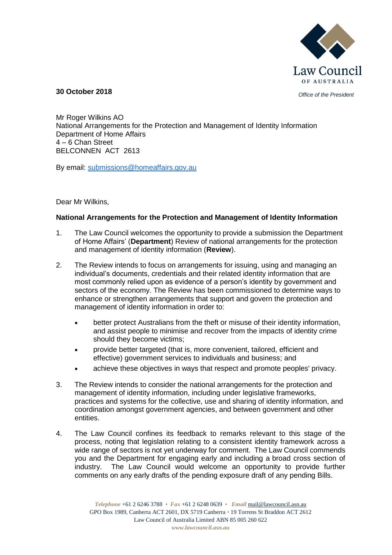

*Office of the President* **30 October 2018**

Mr Roger Wilkins AO National Arrangements for the Protection and Management of Identity Information Department of Home Affairs 4 – 6 Chan Street BELCONNEN ACT 2613

By email: [submissions@homeaffairs.gov.au](mailto:submissions@homeaffairs.gov.au)

Dear Mr Wilkins,

# **National Arrangements for the Protection and Management of Identity Information**

- 1. The Law Council welcomes the opportunity to provide a submission the Department of Home Affairs' (**Department**) Review of national arrangements for the protection and management of identity information (**Review**).
- 2. The Review intends to focus on arrangements for issuing, using and managing an individual's documents, credentials and their related identity information that are most commonly relied upon as evidence of a person's identity by government and sectors of the economy. The Review has been commissioned to determine ways to enhance or strengthen arrangements that support and govern the protection and management of identity information in order to:
	- better protect Australians from the theft or misuse of their identity information, and assist people to minimise and recover from the impacts of identity crime should they become victims;
	- provide better targeted (that is, more convenient, tailored, efficient and effective) government services to individuals and business; and
	- achieve these objectives in ways that respect and promote peoples' privacy.
- 3. The Review intends to consider the national arrangements for the protection and management of identity information, including under legislative frameworks, practices and systems for the collective, use and sharing of identity information, and coordination amongst government agencies, and between government and other entities.
- 4. The Law Council confines its feedback to remarks relevant to this stage of the process, noting that legislation relating to a consistent identity framework across a wide range of sectors is not yet underway for comment. The Law Council commends you and the Department for engaging early and including a broad cross section of industry. The Law Council would welcome an opportunity to provide further comments on any early drafts of the pending exposure draft of any pending Bills.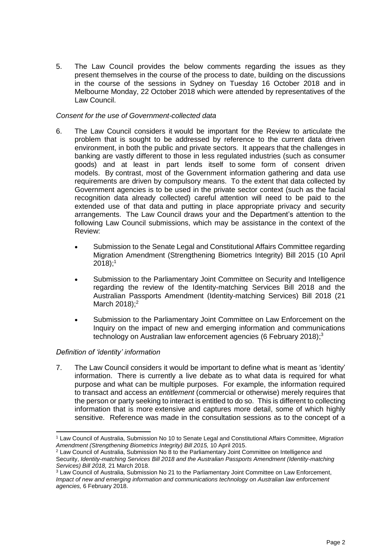5. The Law Council provides the below comments regarding the issues as they present themselves in the course of the process to date, building on the discussions in the course of the sessions in Sydney on Tuesday 16 October 2018 and in Melbourne Monday, 22 October 2018 which were attended by representatives of the Law Council.

## *Consent for the use of Government-collected data*

- 6. The Law Council considers it would be important for the Review to articulate the problem that is sought to be addressed by reference to the current data driven environment, in both the public and private sectors. It appears that the challenges in banking are vastly different to those in less regulated industries (such as consumer goods) and at least in part lends itself to some form of consent driven models. By contrast, most of the Government information gathering and data use requirements are driven by compulsory means. To the extent that data collected by Government agencies is to be used in the private sector context (such as the facial recognition data already collected) careful attention will need to be paid to the extended use of that data and putting in place appropriate privacy and security arrangements. The Law Council draws your and the Department's attention to the following Law Council submissions, which may be assistance in the context of the Review:
	- Submission to the Senate Legal and Constitutional Affairs Committee regarding Migration Amendment (Strengthening Biometrics Integrity) Bill 2015 (10 April  $2018$ );<sup>1</sup>
	- Submission to the Parliamentary Joint Committee on Security and Intelligence regarding the review of the Identity-matching Services Bill 2018 and the Australian Passports Amendment (Identity-matching Services) Bill 2018 (21 March 2018);<sup>2</sup>
	- Submission to the Parliamentary Joint Committee on Law Enforcement on the Inquiry on the impact of new and emerging information and communications technology on Australian law enforcement agencies (6 February 2018);<sup>3</sup>

# *Definition of 'identity' information*

1

7. The Law Council considers it would be important to define what is meant as 'identity' information. There is currently a live debate as to what data is required for what purpose and what can be multiple purposes. For example, the information required to transact and access an *entitlement* (commercial or otherwise) merely requires that the person or party seeking to interact is entitled to do so. This is different to collecting information that is more extensive and captures more detail, some of which highly sensitive. Reference was made in the consultation sessions as to the concept of a

<sup>1</sup> Law Council of Australia, Submission No 10 to Senate Legal and Constitutional Affairs Committee, *Migration Amendment (Strengthening Biometrics Integrity) Bill 2015,* 10 April 2015.

<sup>2</sup> Law Council of Australia, Submission No 8 to the Parliamentary Joint Committee on Intelligence and Security, *Identity-matching Services Bill 2018 and the Australian Passports Amendment (Identity-matching Services) Bill 2018,* 21 March 2018.

<sup>&</sup>lt;sup>3</sup> Law Council of Australia, Submission No 21 to the Parliamentary Joint Committee on Law Enforcement, *Impact of new and emerging information and communications technology on Australian law enforcement agencies,* 6 February 2018.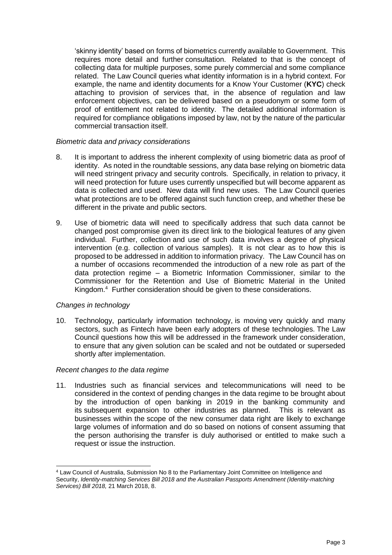'skinny identity' based on forms of biometrics currently available to Government. This requires more detail and further consultation. Related to that is the concept of collecting data for multiple purposes, some purely commercial and some compliance related. The Law Council queries what identity information is in a hybrid context. For example, the name and identity documents for a Know Your Customer (**KYC**) check attaching to provision of services that, in the absence of regulation and law enforcement objectives, can be delivered based on a pseudonym or some form of proof of entitlement not related to identity. The detailed additional information is required for compliance obligations imposed by law, not by the nature of the particular commercial transaction itself.

### *Biometric data and privacy considerations*

- 8. It is important to address the inherent complexity of using biometric data as proof of identity. As noted in the roundtable sessions, any data base relying on biometric data will need stringent privacy and security controls. Specifically, in relation to privacy, it will need protection for future uses currently unspecified but will become apparent as data is collected and used. New data will find new uses. The Law Council queries what protections are to be offered against such function creep, and whether these be different in the private and public sectors.
- 9. Use of biometric data will need to specifically address that such data cannot be changed post compromise given its direct link to the biological features of any given individual. Further, collection and use of such data involves a degree of physical intervention (e.g. collection of various samples). It is not clear as to how this is proposed to be addressed in addition to information privacy. The Law Council has on a number of occasions recommended the introduction of a new role as part of the data protection regime – a Biometric Information Commissioner, similar to the Commissioner for the Retention and Use of Biometric Material in the United Kingdom. <sup>4</sup> Further consideration should be given to these considerations.

#### *Changes in technology*

-

10. Technology, particularly information technology, is moving very quickly and many sectors, such as Fintech have been early adopters of these technologies. The Law Council questions how this will be addressed in the framework under consideration, to ensure that any given solution can be scaled and not be outdated or superseded shortly after implementation.

#### *Recent changes to the data regime*

11. Industries such as financial services and telecommunications will need to be considered in the context of pending changes in the data regime to be brought about by the introduction of open banking in 2019 in the banking community and its subsequent expansion to other industries as planned. This is relevant as businesses within the scope of the new consumer data right are likely to exchange large volumes of information and do so based on notions of consent assuming that the person authorising the transfer is duly authorised or entitled to make such a request or issue the instruction.

<sup>4</sup> Law Council of Australia, Submission No 8 to the Parliamentary Joint Committee on Intelligence and Security, *Identity-matching Services Bill 2018 and the Australian Passports Amendment (Identity-matching Services) Bill 2018,* 21 March 2018, 8.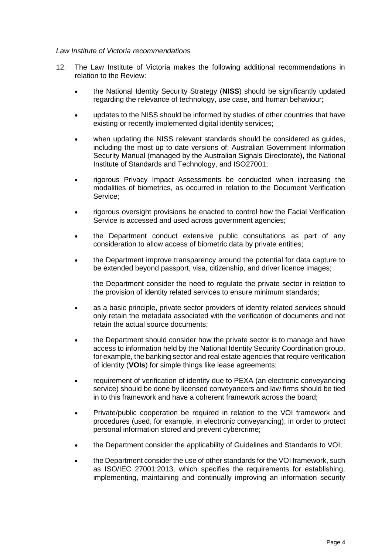### *Law Institute of Victoria recommendations*

- 12. The Law Institute of Victoria makes the following additional recommendations in relation to the Review:
	- the National Identity Security Strategy (**NISS**) should be significantly updated regarding the relevance of technology, use case, and human behaviour;
	- updates to the NISS should be informed by studies of other countries that have existing or recently implemented digital identity services;
	- when updating the NISS relevant standards should be considered as guides, including the most up to date versions of: Australian Government Information Security Manual (managed by the Australian Signals Directorate), the National Institute of Standards and Technology, and ISO27001;
	- rigorous Privacy Impact Assessments be conducted when increasing the modalities of biometrics, as occurred in relation to the Document Verification Service;
	- rigorous oversight provisions be enacted to control how the Facial Verification Service is accessed and used across government agencies;
	- the Department conduct extensive public consultations as part of any consideration to allow access of biometric data by private entities;
	- the Department improve transparency around the potential for data capture to be extended beyond passport, visa, citizenship, and driver licence images;

the Department consider the need to regulate the private sector in relation to the provision of identity related services to ensure minimum standards;

- as a basic principle, private sector providers of identity related services should only retain the metadata associated with the verification of documents and not retain the actual source documents;
- the Department should consider how the private sector is to manage and have access to information held by the National Identity Security Coordination group, for example, the banking sector and real estate agencies that require verification of identity (**VOIs**) for simple things like lease agreements;
- requirement of verification of identity due to PEXA (an electronic conveyancing service) should be done by licensed conveyancers and law firms should be tied in to this framework and have a coherent framework across the board;
- Private/public cooperation be required in relation to the VOI framework and procedures (used, for example, in electronic conveyancing), in order to protect personal information stored and prevent cybercrime;
- the Department consider the applicability of Guidelines and Standards to VOI;
- the Department consider the use of other standards for the VOI framework, such as ISO/IEC 27001:2013, which specifies the requirements for establishing, implementing, maintaining and continually improving an information security